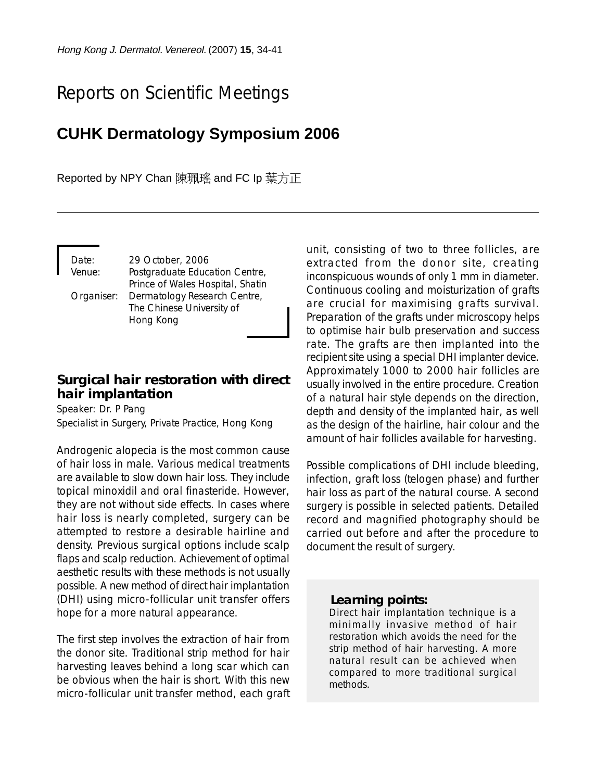# Reports on Scientific Meetings

## **CUHK Dermatology Symposium 2006**

Reported by NPY Chan 陳珮瑤 and FC Ip 葉方正

Date: 29 October, 2006 Venue: Postgraduate Education Centre, Prince of Wales Hospital, Shatin Organiser: Dermatology Research Centre, The Chinese University of Hong Kong

## **Surgical hair restoration with direct hair implantation**

Speaker: Dr. P Pang Specialist in Surgery, Private Practice, Hong Kong

Androgenic alopecia is the most common cause of hair loss in male. Various medical treatments are available to slow down hair loss. They include topical minoxidil and oral finasteride. However, they are not without side effects. In cases where hair loss is nearly completed, surgery can be attempted to restore a desirable hairline and density. Previous surgical options include scalp flaps and scalp reduction. Achievement of optimal aesthetic results with these methods is not usually possible. A new method of direct hair implantation (DHI) using micro-follicular unit transfer offers hope for a more natural appearance.

The first step involves the extraction of hair from the donor site. Traditional strip method for hair harvesting leaves behind a long scar which can be obvious when the hair is short. With this new micro-follicular unit transfer method, each graft unit, consisting of two to three follicles, are extracted from the donor site, creating inconspicuous wounds of only 1 mm in diameter. Continuous cooling and moisturization of grafts are crucial for maximising grafts survival. Preparation of the grafts under microscopy helps to optimise hair bulb preservation and success rate. The grafts are then implanted into the recipient site using a special DHI implanter device. Approximately 1000 to 2000 hair follicles are usually involved in the entire procedure. Creation of a natural hair style depends on the direction, depth and density of the implanted hair, as well as the design of the hairline, hair colour and the amount of hair follicles available for harvesting.

Possible complications of DHI include bleeding, infection, graft loss (telogen phase) and further hair loss as part of the natural course. A second surgery is possible in selected patients. Detailed record and magnified photography should be carried out before and after the procedure to document the result of surgery.

#### *Learning points:*

Direct hair implantation technique is a minimally invasive method of hair restoration which avoids the need for the strip method of hair harvesting. A more natural result can be achieved when compared to more traditional surgical methods.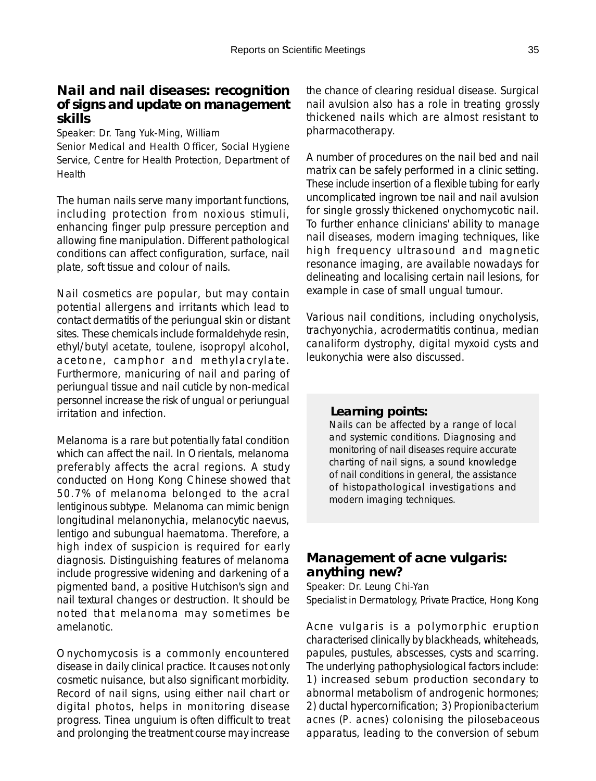## **Nail and nail diseases: recognition of signs and update on management skills**

Speaker: Dr. Tang Yuk-Ming, William

Senior Medical and Health Officer, Social Hygiene Service, Centre for Health Protection, Department of Health

The human nails serve many important functions, including protection from noxious stimuli, enhancing finger pulp pressure perception and allowing fine manipulation. Different pathological conditions can affect configuration, surface, nail plate, soft tissue and colour of nails.

Nail cosmetics are popular, but may contain potential allergens and irritants which lead to contact dermatitis of the periungual skin or distant sites. These chemicals include formaldehyde resin, ethyl/butyl acetate, toulene, isopropyl alcohol, acetone, camphor and methylacrylate. Furthermore, manicuring of nail and paring of periungual tissue and nail cuticle by non-medical personnel increase the risk of ungual or periungual irritation and infection.

Melanoma is a rare but potentially fatal condition which can affect the nail. In Orientals, melanoma preferably affects the acral regions. A study conducted on Hong Kong Chinese showed that 50.7% of melanoma belonged to the acral lentiginous subtype. Melanoma can mimic benign longitudinal melanonychia, melanocytic naevus, lentigo and subungual haematoma. Therefore, a high index of suspicion is required for early diagnosis. Distinguishing features of melanoma include progressive widening and darkening of a pigmented band, a positive Hutchison's sign and nail textural changes or destruction. It should be noted that melanoma may sometimes be amelanotic.

Onychomycosis is a commonly encountered disease in daily clinical practice. It causes not only cosmetic nuisance, but also significant morbidity. Record of nail signs, using either nail chart or digital photos, helps in monitoring disease progress. Tinea unguium is often difficult to treat and prolonging the treatment course may increase

the chance of clearing residual disease. Surgical nail avulsion also has a role in treating grossly thickened nails which are almost resistant to pharmacotherapy.

A number of procedures on the nail bed and nail matrix can be safely performed in a clinic setting. These include insertion of a flexible tubing for early uncomplicated ingrown toe nail and nail avulsion for single grossly thickened onychomycotic nail. To further enhance clinicians' ability to manage nail diseases, modern imaging techniques, like high frequency ultrasound and magnetic resonance imaging, are available nowadays for delineating and localising certain nail lesions, for example in case of small ungual tumour.

Various nail conditions, including onycholysis, trachyonychia, acrodermatitis continua, median canaliform dystrophy, digital myxoid cysts and leukonychia were also discussed.

#### *Learning points:*

Nails can be affected by a range of local and systemic conditions. Diagnosing and monitoring of nail diseases require accurate charting of nail signs, a sound knowledge of nail conditions in general, the assistance of histopathological investigations and modern imaging techniques.

## **Management of acne vulgaris: anything new?**

Speaker: Dr. Leung Chi-Yan Specialist in Dermatology, Private Practice, Hong Kong

Acne vulgaris is a polymorphic eruption characterised clinically by blackheads, whiteheads, papules, pustules, abscesses, cysts and scarring. The underlying pathophysiological factors include: 1) increased sebum production secondary to abnormal metabolism of androgenic hormones; 2) ductal hypercornification; 3) *Propionibacterium acnes* (*P. acnes*) colonising the pilosebaceous apparatus, leading to the conversion of sebum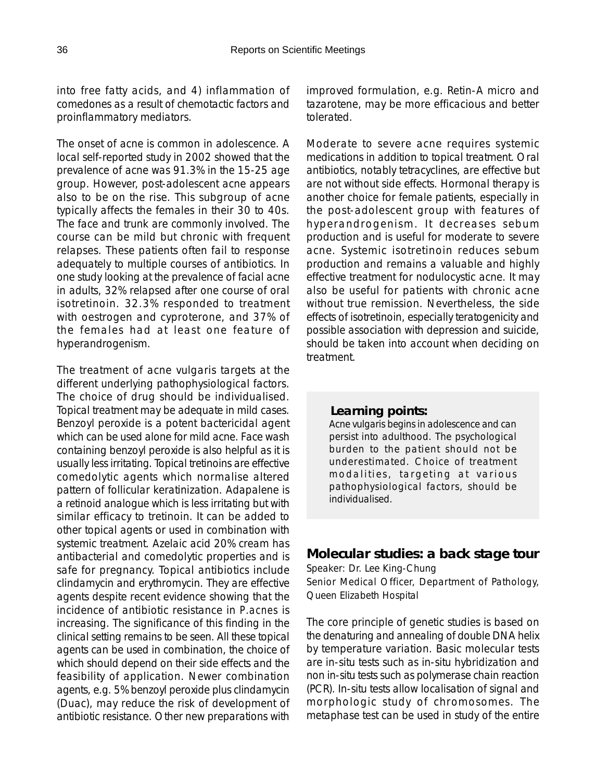into free fatty acids, and 4) inflammation of comedones as a result of chemotactic factors and proinflammatory mediators.

The onset of acne is common in adolescence. A local self-reported study in 2002 showed that the prevalence of acne was 91.3% in the 15-25 age group. However, post-adolescent acne appears also to be on the rise. This subgroup of acne typically affects the females in their 30 to 40s. The face and trunk are commonly involved. The course can be mild but chronic with frequent relapses. These patients often fail to response adequately to multiple courses of antibiotics. In one study looking at the prevalence of facial acne in adults, 32% relapsed after one course of oral isotretinoin. 32.3% responded to treatment with oestrogen and cyproterone, and 37% of the females had at least one feature of hyperandrogenism.

The treatment of acne vulgaris targets at the different underlying pathophysiological factors. The choice of drug should be individualised. Topical treatment may be adequate in mild cases. Benzoyl peroxide is a potent bactericidal agent which can be used alone for mild acne. Face wash containing benzoyl peroxide is also helpful as it is usually less irritating. Topical tretinoins are effective comedolytic agents which normalise altered pattern of follicular keratinization. Adapalene is a retinoid analogue which is less irritating but with similar efficacy to tretinoin. It can be added to other topical agents or used in combination with systemic treatment. Azelaic acid 20% cream has antibacterial and comedolytic properties and is safe for pregnancy. Topical antibiotics include clindamycin and erythromycin. They are effective agents despite recent evidence showing that the incidence of antibiotic resistance in *P.acnes* is increasing. The significance of this finding in the clinical setting remains to be seen. All these topical agents can be used in combination, the choice of which should depend on their side effects and the feasibility of application. Newer combination agents, e.g. 5% benzoyl peroxide plus clindamycin (Duac), may reduce the risk of development of antibiotic resistance. Other new preparations with

improved formulation, e.g. Retin-A micro and tazarotene, may be more efficacious and better tolerated.

Moderate to severe acne requires systemic medications in addition to topical treatment. Oral antibiotics, notably tetracyclines, are effective but are not without side effects. Hormonal therapy is another choice for female patients, especially in the post-adolescent group with features of hyperandrogenism. It decreases sebum production and is useful for moderate to severe acne. Systemic isotretinoin reduces sebum production and remains a valuable and highly effective treatment for nodulocystic acne. It may also be useful for patients with chronic acne without true remission. Nevertheless, the side effects of isotretinoin, especially teratogenicity and possible association with depression and suicide, should be taken into account when deciding on treatment.

#### *Learning points:*

Acne vulgaris begins in adolescence and can persist into adulthood. The psychological burden to the patient should not be underestimated. Choice of treatment modalities, targeting at various pathophysiological factors, should be individualised.

## **Molecular studies: a back stage tour**

Speaker: Dr. Lee King-Chung Senior Medical Officer, Department of Pathology, Queen Elizabeth Hospital

The core principle of genetic studies is based on the denaturing and annealing of double DNA helix by temperature variation. Basic molecular tests are in-situ tests such as in-situ hybridization and non in-situ tests such as polymerase chain reaction (PCR). In-situ tests allow localisation of signal and morphologic study of chromosomes. The metaphase test can be used in study of the entire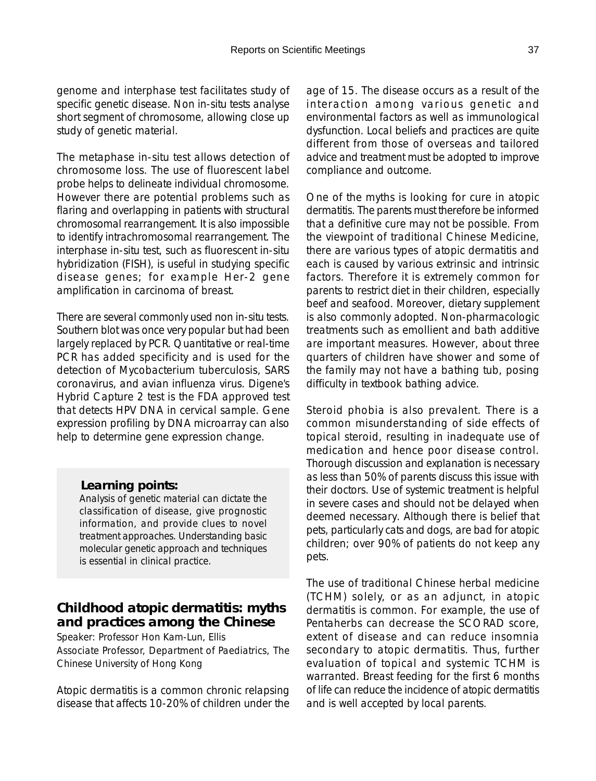genome and interphase test facilitates study of specific genetic disease. Non in-situ tests analyse short segment of chromosome, allowing close up study of genetic material.

The metaphase in-situ test allows detection of chromosome loss. The use of fluorescent label probe helps to delineate individual chromosome. However there are potential problems such as flaring and overlapping in patients with structural chromosomal rearrangement. It is also impossible to identify intrachromosomal rearrangement. The interphase in-situ test, such as fluorescent in-situ hybridization (FISH), is useful in studying specific disease genes; for example Her-2 gene amplification in carcinoma of breast.

There are several commonly used non in-situ tests. Southern blot was once very popular but had been largely replaced by PCR. Quantitative or real-time PCR has added specificity and is used for the detection of Mycobacterium tuberculosis, SARS coronavirus, and avian influenza virus. Digene's Hybrid Capture 2 test is the FDA approved test that detects HPV DNA in cervical sample. Gene expression profiling by DNA microarray can also help to determine gene expression change.

#### *Learning points:*

Analysis of genetic material can dictate the classification of disease, give prognostic information, and provide clues to novel treatment approaches. Understanding basic molecular genetic approach and techniques is essential in clinical practice.

## **Childhood atopic dermatitis: myths and practices among the Chinese**

Speaker: Professor Hon Kam-Lun, Ellis Associate Professor, Department of Paediatrics, The Chinese University of Hong Kong

Atopic dermatitis is a common chronic relapsing disease that affects 10-20% of children under the age of 15. The disease occurs as a result of the interaction among various genetic and environmental factors as well as immunological dysfunction. Local beliefs and practices are quite different from those of overseas and tailored advice and treatment must be adopted to improve compliance and outcome.

One of the myths is looking for cure in atopic dermatitis. The parents must therefore be informed that a definitive cure may not be possible. From the viewpoint of traditional Chinese Medicine, there are various types of atopic dermatitis and each is caused by various extrinsic and intrinsic factors. Therefore it is extremely common for parents to restrict diet in their children, especially beef and seafood. Moreover, dietary supplement is also commonly adopted. Non-pharmacologic treatments such as emollient and bath additive are important measures. However, about three quarters of children have shower and some of the family may not have a bathing tub, posing difficulty in textbook bathing advice.

Steroid phobia is also prevalent. There is a common misunderstanding of side effects of topical steroid, resulting in inadequate use of medication and hence poor disease control. Thorough discussion and explanation is necessary as less than 50% of parents discuss this issue with their doctors. Use of systemic treatment is helpful in severe cases and should not be delayed when deemed necessary. Although there is belief that pets, particularly cats and dogs, are bad for atopic children; over 90% of patients do not keep any pets.

The use of traditional Chinese herbal medicine (TCHM) solely, or as an adjunct, in atopic dermatitis is common. For example, the use of Pentaherbs can decrease the SCORAD score, extent of disease and can reduce insomnia secondary to atopic dermatitis. Thus, further evaluation of topical and systemic TCHM is warranted. Breast feeding for the first 6 months of life can reduce the incidence of atopic dermatitis and is well accepted by local parents.